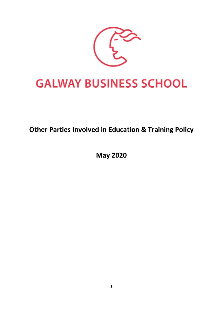

# **Other Parties Involved in Education & Training Policy**

**May 2020**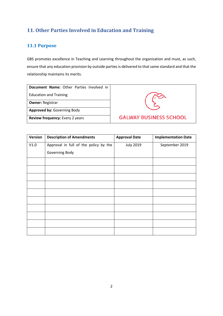## **11. Other Parties Involved in Education and Training**

### **11.1 Purpose**

GBS promotes excellence in Teaching and Learning throughout the organisation and must, as such, ensure that any education provision by outside parties is delivered to that same standard and that the relationship maintains its merits.

| Document Name: Other Parties Involved in |  |  |  |  |  |
|------------------------------------------|--|--|--|--|--|
| <b>Education and Training</b>            |  |  |  |  |  |

**Owner:** Registrar

**Approved by:** Governing Body

**Review frequency:** Every 2 years



| Version | <b>Description of Amendments</b>      | <b>Approval Date</b> | <b>Implementation Date</b> |
|---------|---------------------------------------|----------------------|----------------------------|
| V1.0    | Approval in full of the policy by the | <b>July 2019</b>     | September 2019             |
|         | Governing Body                        |                      |                            |
|         |                                       |                      |                            |
|         |                                       |                      |                            |
|         |                                       |                      |                            |
|         |                                       |                      |                            |
|         |                                       |                      |                            |
|         |                                       |                      |                            |
|         |                                       |                      |                            |
|         |                                       |                      |                            |
|         |                                       |                      |                            |
|         |                                       |                      |                            |